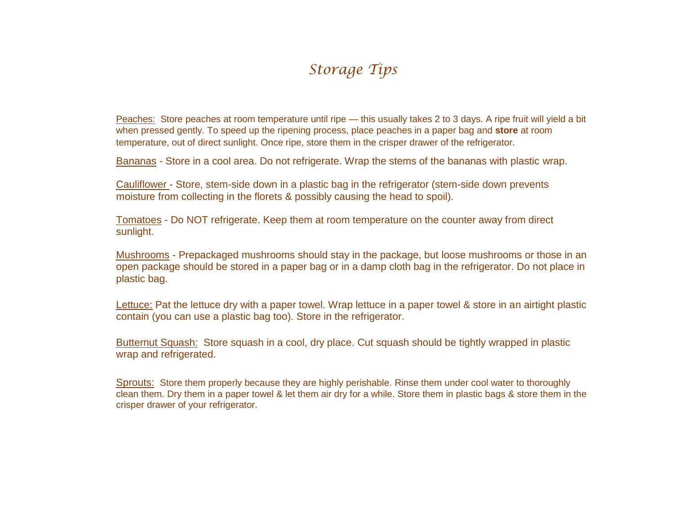## *Storage Tips*

Peaches: Store peaches at room temperature until ripe — this usually takes 2 to 3 days. A ripe fruit will yield a bit when pressed gently. To speed up the ripening process, place peaches in a paper bag and **store** at room temperature, out of direct sunlight. Once ripe, store them in the crisper drawer of the refrigerator.

Bananas - Store in a cool area. Do not refrigerate. Wrap the stems of the bananas with plastic wrap.

Cauliflower - Store, stem-side down in a plastic bag in the refrigerator (stem-side down prevents moisture from collecting in the florets & possibly causing the head to spoil).

Tomatoes - Do NOT refrigerate. Keep them at room temperature on the counter away from direct sunlight.

Mushrooms - Prepackaged mushrooms should stay in the package, but loose mushrooms or those in an open package should be stored in a paper bag or in a damp cloth bag in the refrigerator. Do not place in plastic bag.

Lettuce: Pat the lettuce dry with a paper towel. Wrap lettuce in a paper towel & store in an airtight plastic contain (you can use a plastic bag too). Store in the refrigerator.

Butternut Squash: Store squash in a cool, dry place. Cut squash should be tightly wrapped in plastic wrap and refrigerated.

Sprouts: Store them properly because they are highly perishable. Rinse them under cool water to thoroughly clean them. Dry them in a paper towel & let them air dry for a while. Store them in plastic bags & store them in the crisper drawer of your refrigerator.